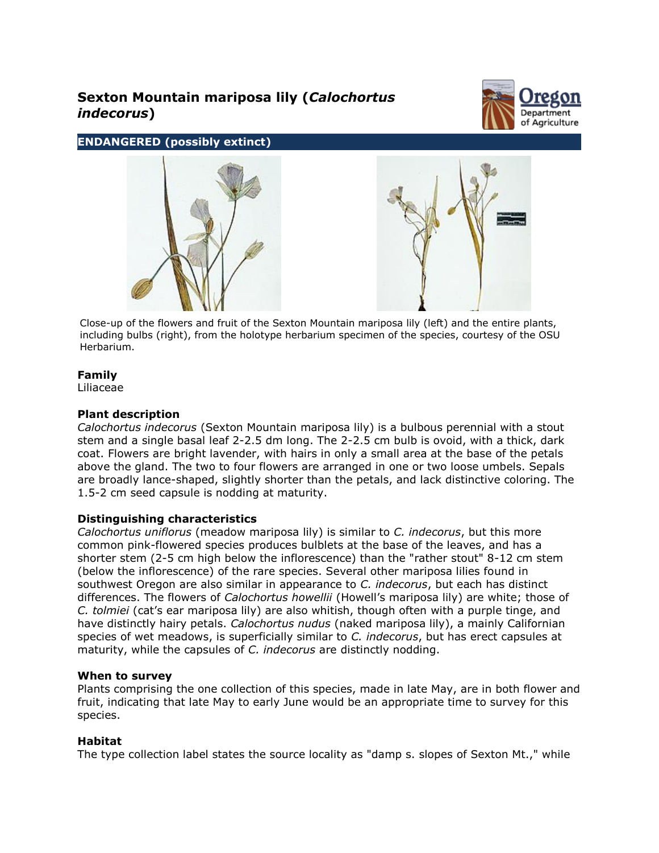# **Sexton Mountain mariposa lily (***Calochortus indecorus***)**



# **ENDANGERED (possibly extinct)**





Close-up of the flowers and fruit of the Sexton Mountain mariposa lily (left) and the entire plants, including bulbs (right), from the holotype herbarium specimen of the species, courtesy of the OSU Herbarium.

# **Family**

Liliaceae

# **Plant description**

*Calochortus indecorus* (Sexton Mountain mariposa lily) is a bulbous perennial with a stout stem and a single basal leaf 2-2.5 dm long. The 2-2.5 cm bulb is ovoid, with a thick, dark coat. Flowers are bright lavender, with hairs in only a small area at the base of the petals above the gland. The two to four flowers are arranged in one or two loose umbels. Sepals are broadly lance-shaped, slightly shorter than the petals, and lack distinctive coloring. The 1.5-2 cm seed capsule is nodding at maturity.

# **Distinguishing characteristics**

*Calochortus uniflorus* (meadow mariposa lily) is similar to *C. indecorus*, but this more common pink-flowered species produces bulblets at the base of the leaves, and has a shorter stem (2-5 cm high below the inflorescence) than the "rather stout" 8-12 cm stem (below the inflorescence) of the rare species. Several other mariposa lilies found in southwest Oregon are also similar in appearance to *C. indecorus*, but each has distinct differences. The flowers of *Calochortus howellii* (Howell's mariposa lily) are white; those of *C. tolmiei* (cat's ear mariposa lily) are also whitish, though often with a purple tinge, and have distinctly hairy petals. *Calochortus nudus* (naked mariposa lily), a mainly Californian species of wet meadows, is superficially similar to *C. indecorus*, but has erect capsules at maturity, while the capsules of *C. indecorus* are distinctly nodding.

#### **When to survey**

Plants comprising the one collection of this species, made in late May, are in both flower and fruit, indicating that late May to early June would be an appropriate time to survey for this species.

# **Habitat**

The type collection label states the source locality as "damp s. slopes of Sexton Mt.," while